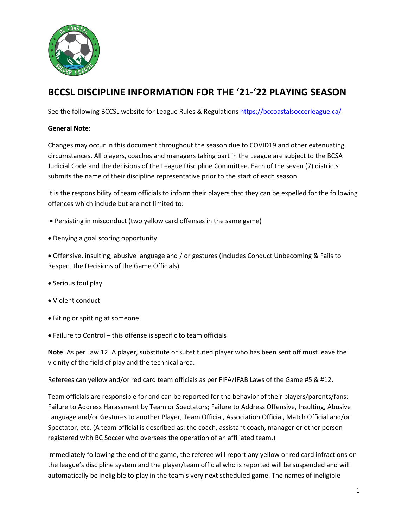

# **BCCSL DISCIPLINE INFORMATION FOR THE '21-'22 PLAYING SEASON**

See the following BCCSL website for League Rules & Regulations<https://bccoastalsoccerleague.ca/>

## **General Note**:

Changes may occur in this document throughout the season due to COVID19 and other extenuating circumstances. All players, coaches and managers taking part in the League are subject to the BCSA Judicial Code and the decisions of the League Discipline Committee. Each of the seven (7) districts submits the name of their discipline representative prior to the start of each season.

It is the responsibility of team officials to inform their players that they can be expelled for the following offences which include but are not limited to:

- Persisting in misconduct (two yellow card offenses in the same game)
- Denying a goal scoring opportunity
- Offensive, insulting, abusive language and / or gestures (includes Conduct Unbecoming & Fails to Respect the Decisions of the Game Officials)
- Serious foul play
- Violent conduct
- Biting or spitting at someone
- Failure to Control this offense is specific to team officials

**Note**: As per Law 12: A player, substitute or substituted player who has been sent off must leave the vicinity of the field of play and the technical area.

Referees can yellow and/or red card team officials as per FIFA/IFAB Laws of the Game #5 & #12.

Team officials are responsible for and can be reported for the behavior of their players/parents/fans: Failure to Address Harassment by Team or Spectators; Failure to Address Offensive, Insulting, Abusive Language and/or Gestures to another Player, Team Official, Association Official, Match Official and/or Spectator, etc. (A team official is described as: the coach, assistant coach, manager or other person registered with BC Soccer who oversees the operation of an affiliated team.)

Immediately following the end of the game, the referee will report any yellow or red card infractions on the league's discipline system and the player/team official who is reported will be suspended and will automatically be ineligible to play in the team's very next scheduled game. The names of ineligible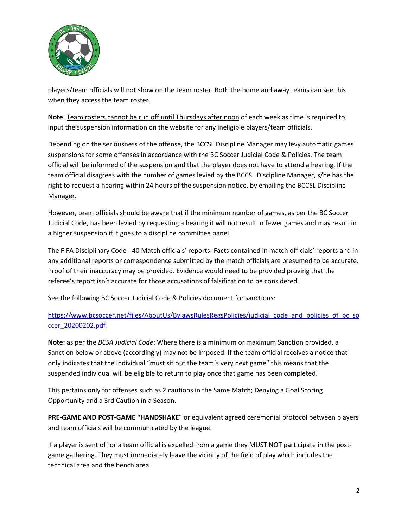

players/team officials will not show on the team roster. Both the home and away teams can see this when they access the team roster.

**Note**: Team rosters cannot be run off until Thursdays after noon of each week as time is required to input the suspension information on the website for any ineligible players/team officials.

Depending on the seriousness of the offense, the BCCSL Discipline Manager may levy automatic games suspensions for some offenses in accordance with the BC Soccer Judicial Code & Policies. The team official will be informed of the suspension and that the player does not have to attend a hearing. If the team official disagrees with the number of games levied by the BCCSL Discipline Manager, s/he has the right to request a hearing within 24 hours of the suspension notice, by emailing the BCCSL Discipline Manager.

However, team officials should be aware that if the minimum number of games, as per the BC Soccer Judicial Code, has been levied by requesting a hearing it will not result in fewer games and may result in a higher suspension if it goes to a discipline committee panel.

The FIFA Disciplinary Code - 40 Match officials' reports: Facts contained in match officials' reports and in any additional reports or correspondence submitted by the match officials are presumed to be accurate. Proof of their inaccuracy may be provided. Evidence would need to be provided proving that the referee's report isn't accurate for those accusations of falsification to be considered.

See the following BC Soccer Judicial Code & Policies document for sanctions:

# [https://www.bcsoccer.net/files/AboutUs/BylawsRulesRegsPolicies/judicial\\_code\\_and\\_policies\\_of\\_bc\\_so](https://www.bcsoccer.net/files/AboutUs/BylawsRulesRegsPolicies/judicial_code_and_policies_of_bc_soccer_20200202.pdf) [ccer\\_20200202.pdf](https://www.bcsoccer.net/files/AboutUs/BylawsRulesRegsPolicies/judicial_code_and_policies_of_bc_soccer_20200202.pdf)

**Note:** as per the *BCSA Judicial Code*: Where there is a minimum or maximum Sanction provided, a Sanction below or above (accordingly) may not be imposed. If the team official receives a notice that only indicates that the individual "must sit out the team's very next game" this means that the suspended individual will be eligible to return to play once that game has been completed.

This pertains only for offenses such as 2 cautions in the Same Match; Denying a Goal Scoring Opportunity and a 3rd Caution in a Season.

**PRE-GAME AND POST-GAME "HANDSHAKE**" or equivalent agreed ceremonial protocol between players and team officials will be communicated by the league.

If a player is sent off or a team official is expelled from a game they MUST NOT participate in the postgame gathering. They must immediately leave the vicinity of the field of play which includes the technical area and the bench area.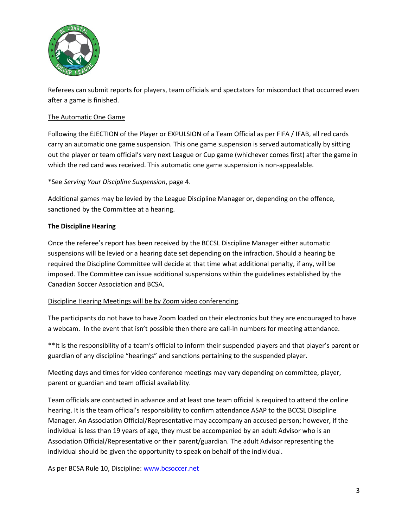

Referees can submit reports for players, team officials and spectators for misconduct that occurred even after a game is finished.

### The Automatic One Game

Following the EJECTION of the Player or EXPULSION of a Team Official as per FIFA / IFAB, all red cards carry an automatic one game suspension. This one game suspension is served automatically by sitting out the player or team official's very next League or Cup game (whichever comes first) after the game in which the red card was received. This automatic one game suspension is non-appealable.

#### \*See *Serving Your Discipline Suspension*, page 4.

Additional games may be levied by the League Discipline Manager or, depending on the offence, sanctioned by the Committee at a hearing.

#### **The Discipline Hearing**

Once the referee's report has been received by the BCCSL Discipline Manager either automatic suspensions will be levied or a hearing date set depending on the infraction. Should a hearing be required the Discipline Committee will decide at that time what additional penalty, if any, will be imposed. The Committee can issue additional suspensions within the guidelines established by the Canadian Soccer Association and BCSA.

#### Discipline Hearing Meetings will be by Zoom video conferencing.

The participants do not have to have Zoom loaded on their electronics but they are encouraged to have a webcam. In the event that isn't possible then there are call-in numbers for meeting attendance.

\*\*It is the responsibility of a team's official to inform their suspended players and that player's parent or guardian of any discipline "hearings" and sanctions pertaining to the suspended player.

Meeting days and times for video conference meetings may vary depending on committee, player, parent or guardian and team official availability.

Team officials are contacted in advance and at least one team official is required to attend the online hearing. It is the team official's responsibility to confirm attendance ASAP to the BCCSL Discipline Manager. An Association Official/Representative may accompany an accused person; however, if the individual is less than 19 years of age, they must be accompanied by an adult Advisor who is an Association Official/Representative or their parent/guardian. The adult Advisor representing the individual should be given the opportunity to speak on behalf of the individual.

As per BCSA Rule 10, Discipline: [www.bcsoccer.net](http://www.bcsoccer.net/)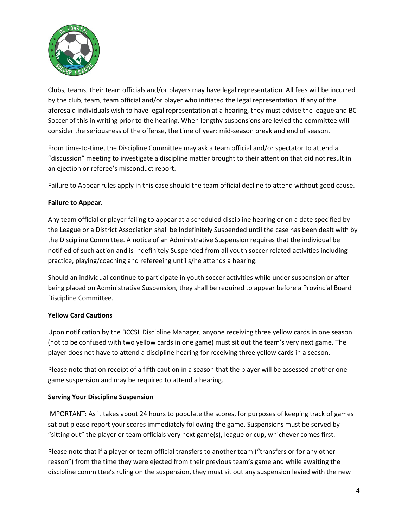

Clubs, teams, their team officials and/or players may have legal representation. All fees will be incurred by the club, team, team official and/or player who initiated the legal representation. If any of the aforesaid individuals wish to have legal representation at a hearing, they must advise the league and BC Soccer of this in writing prior to the hearing. When lengthy suspensions are levied the committee will consider the seriousness of the offense, the time of year: mid-season break and end of season.

From time-to-time, the Discipline Committee may ask a team official and/or spectator to attend a "discussion" meeting to investigate a discipline matter brought to their attention that did not result in an ejection or referee's misconduct report.

Failure to Appear rules apply in this case should the team official decline to attend without good cause.

#### **Failure to Appear.**

Any team official or player failing to appear at a scheduled discipline hearing or on a date specified by the League or a District Association shall be Indefinitely Suspended until the case has been dealt with by the Discipline Committee. A notice of an Administrative Suspension requires that the individual be notified of such action and is Indefinitely Suspended from all youth soccer related activities including practice, playing/coaching and refereeing until s/he attends a hearing.

Should an individual continue to participate in youth soccer activities while under suspension or after being placed on Administrative Suspension, they shall be required to appear before a Provincial Board Discipline Committee.

#### **Yellow Card Cautions**

Upon notification by the BCCSL Discipline Manager, anyone receiving three yellow cards in one season (not to be confused with two yellow cards in one game) must sit out the team's very next game. The player does not have to attend a discipline hearing for receiving three yellow cards in a season.

Please note that on receipt of a fifth caution in a season that the player will be assessed another one game suspension and may be required to attend a hearing.

#### **Serving Your Discipline Suspension**

IMPORTANT: As it takes about 24 hours to populate the scores, for purposes of keeping track of games sat out please report your scores immediately following the game. Suspensions must be served by "sitting out" the player or team officials very next game(s), league or cup, whichever comes first.

Please note that if a player or team official transfers to another team ("transfers or for any other reason") from the time they were ejected from their previous team's game and while awaiting the discipline committee's ruling on the suspension, they must sit out any suspension levied with the new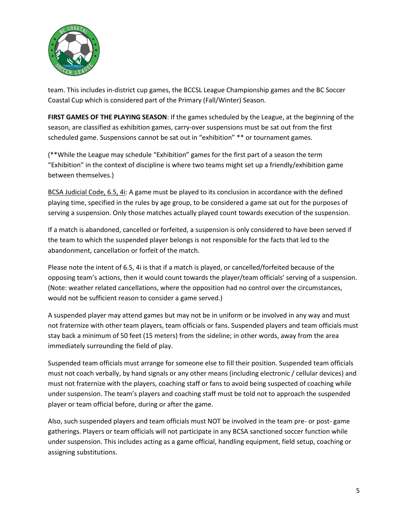

team. This includes in-district cup games, the BCCSL League Championship games and the BC Soccer Coastal Cup which is considered part of the Primary (Fall/Winter) Season.

**FIRST GAMES OF THE PLAYING SEASON**: If the games scheduled by the League, at the beginning of the season, are classified as exhibition games, carry-over suspensions must be sat out from the first scheduled game. Suspensions cannot be sat out in "exhibition" \*\* or tournament games.

(\*\*While the League may schedule "Exhibition" games for the first part of a season the term "Exhibition" in the context of discipline is where two teams might set up a friendly/exhibition game between themselves.)

BCSA Judicial Code, 6.5, 4i: A game must be played to its conclusion in accordance with the defined playing time, specified in the rules by age group, to be considered a game sat out for the purposes of serving a suspension. Only those matches actually played count towards execution of the suspension.

If a match is abandoned, cancelled or forfeited, a suspension is only considered to have been served if the team to which the suspended player belongs is not responsible for the facts that led to the abandonment, cancellation or forfeit of the match.

Please note the intent of 6.5, 4i is that if a match is played, or cancelled/forfeited because of the opposing team's actions, then it would count towards the player/team officials' serving of a suspension. (Note: weather related cancellations, where the opposition had no control over the circumstances, would not be sufficient reason to consider a game served.)

A suspended player may attend games but may not be in uniform or be involved in any way and must not fraternize with other team players, team officials or fans. Suspended players and team officials must stay back a minimum of 50 feet (15 meters) from the sideline; in other words, away from the area immediately surrounding the field of play.

Suspended team officials must arrange for someone else to fill their position. Suspended team officials must not coach verbally, by hand signals or any other means (including electronic / cellular devices) and must not fraternize with the players, coaching staff or fans to avoid being suspected of coaching while under suspension. The team's players and coaching staff must be told not to approach the suspended player or team official before, during or after the game.

Also, such suspended players and team officials must NOT be involved in the team pre- or post- game gatherings. Players or team officials will not participate in any BCSA sanctioned soccer function while under suspension. This includes acting as a game official, handling equipment, field setup, coaching or assigning substitutions.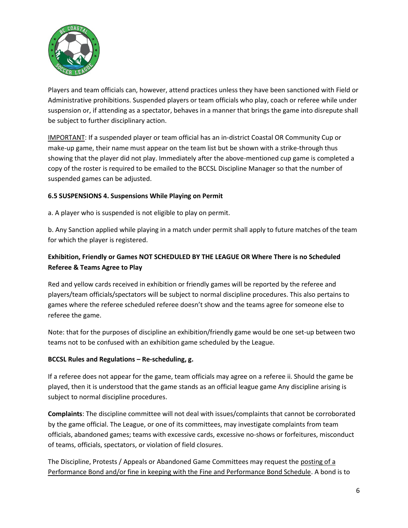

Players and team officials can, however, attend practices unless they have been sanctioned with Field or Administrative prohibitions. Suspended players or team officials who play, coach or referee while under suspension or, if attending as a spectator, behaves in a manner that brings the game into disrepute shall be subject to further disciplinary action.

IMPORTANT: If a suspended player or team official has an in-district Coastal OR Community Cup or make-up game, their name must appear on the team list but be shown with a strike-through thus showing that the player did not play. Immediately after the above-mentioned cup game is completed a copy of the roster is required to be emailed to the BCCSL Discipline Manager so that the number of suspended games can be adjusted.

#### **6.5 SUSPENSIONS 4. Suspensions While Playing on Permit**

a. A player who is suspended is not eligible to play on permit.

b. Any Sanction applied while playing in a match under permit shall apply to future matches of the team for which the player is registered.

# **Exhibition, Friendly or Games NOT SCHEDULED BY THE LEAGUE OR Where There is no Scheduled Referee & Teams Agree to Play**

Red and yellow cards received in exhibition or friendly games will be reported by the referee and players/team officials/spectators will be subject to normal discipline procedures. This also pertains to games where the referee scheduled referee doesn't show and the teams agree for someone else to referee the game.

Note: that for the purposes of discipline an exhibition/friendly game would be one set-up between two teams not to be confused with an exhibition game scheduled by the League.

#### **BCCSL Rules and Regulations – Re-scheduling, g.**

If a referee does not appear for the game, team officials may agree on a referee ii. Should the game be played, then it is understood that the game stands as an official league game Any discipline arising is subject to normal discipline procedures.

**Complaints**: The discipline committee will not deal with issues/complaints that cannot be corroborated by the game official. The League, or one of its committees, may investigate complaints from team officials, abandoned games; teams with excessive cards, excessive no-shows or forfeitures, misconduct of teams, officials, spectators, or violation of field closures.

The Discipline, Protests / Appeals or Abandoned Game Committees may request the posting of a Performance Bond and/or fine in keeping with the Fine and Performance Bond Schedule. A bond is to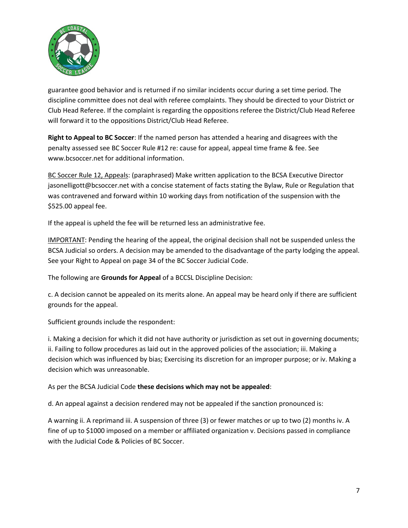

guarantee good behavior and is returned if no similar incidents occur during a set time period. The discipline committee does not deal with referee complaints. They should be directed to your District or Club Head Referee. If the complaint is regarding the oppositions referee the District/Club Head Referee will forward it to the oppositions District/Club Head Referee.

**Right to Appeal to BC Soccer**: If the named person has attended a hearing and disagrees with the penalty assessed see BC Soccer Rule #12 re: cause for appeal, appeal time frame & fee. See www.bcsoccer.net for additional information.

BC Soccer Rule 12, Appeals: (paraphrased) Make written application to the BCSA Executive Director jasonelligott@bcsoccer.net with a concise statement of facts stating the Bylaw, Rule or Regulation that was contravened and forward within 10 working days from notification of the suspension with the \$525.00 appeal fee.

If the appeal is upheld the fee will be returned less an administrative fee.

IMPORTANT: Pending the hearing of the appeal, the original decision shall not be suspended unless the BCSA Judicial so orders. A decision may be amended to the disadvantage of the party lodging the appeal. See your Right to Appeal on page 34 of the BC Soccer Judicial Code.

The following are **Grounds for Appeal** of a BCCSL Discipline Decision:

c. A decision cannot be appealed on its merits alone. An appeal may be heard only if there are sufficient grounds for the appeal.

Sufficient grounds include the respondent:

i. Making a decision for which it did not have authority or jurisdiction as set out in governing documents; ii. Failing to follow procedures as laid out in the approved policies of the association; iii. Making a decision which was influenced by bias; Exercising its discretion for an improper purpose; or iv. Making a decision which was unreasonable.

As per the BCSA Judicial Code **these decisions which may not be appealed**:

d. An appeal against a decision rendered may not be appealed if the sanction pronounced is:

A warning ii. A reprimand iii. A suspension of three (3) or fewer matches or up to two (2) months iv. A fine of up to \$1000 imposed on a member or affiliated organization v. Decisions passed in compliance with the Judicial Code & Policies of BC Soccer.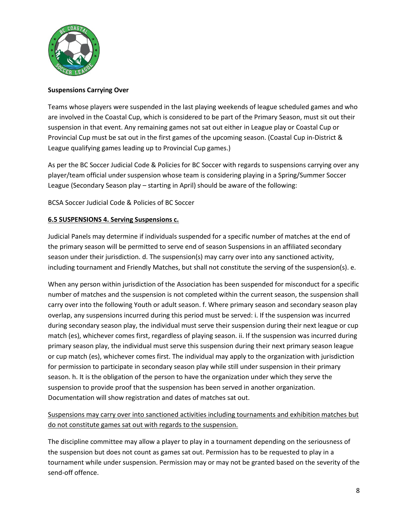

#### **Suspensions Carrying Over**

Teams whose players were suspended in the last playing weekends of league scheduled games and who are involved in the Coastal Cup, which is considered to be part of the Primary Season, must sit out their suspension in that event. Any remaining games not sat out either in League play or Coastal Cup or Provincial Cup must be sat out in the first games of the upcoming season. (Coastal Cup in-District & League qualifying games leading up to Provincial Cup games.)

As per the BC Soccer Judicial Code & Policies for BC Soccer with regards to suspensions carrying over any player/team official under suspension whose team is considering playing in a Spring/Summer Soccer League (Secondary Season play – starting in April) should be aware of the following:

BCSA Soccer Judicial Code & Policies of BC Soccer

#### **6.5 SUSPENSIONS 4. Serving Suspensions c.**

Judicial Panels may determine if individuals suspended for a specific number of matches at the end of the primary season will be permitted to serve end of season Suspensions in an affiliated secondary season under their jurisdiction. d. The suspension(s) may carry over into any sanctioned activity, including tournament and Friendly Matches, but shall not constitute the serving of the suspension(s). e.

When any person within jurisdiction of the Association has been suspended for misconduct for a specific number of matches and the suspension is not completed within the current season, the suspension shall carry over into the following Youth or adult season. f. Where primary season and secondary season play overlap, any suspensions incurred during this period must be served: i. If the suspension was incurred during secondary season play, the individual must serve their suspension during their next league or cup match (es), whichever comes first, regardless of playing season. ii. If the suspension was incurred during primary season play, the individual must serve this suspension during their next primary season league or cup match (es), whichever comes first. The individual may apply to the organization with jurisdiction for permission to participate in secondary season play while still under suspension in their primary season. h. It is the obligation of the person to have the organization under which they serve the suspension to provide proof that the suspension has been served in another organization. Documentation will show registration and dates of matches sat out.

# Suspensions may carry over into sanctioned activities including tournaments and exhibition matches but do not constitute games sat out with regards to the suspension.

The discipline committee may allow a player to play in a tournament depending on the seriousness of the suspension but does not count as games sat out. Permission has to be requested to play in a tournament while under suspension. Permission may or may not be granted based on the severity of the send-off offence.